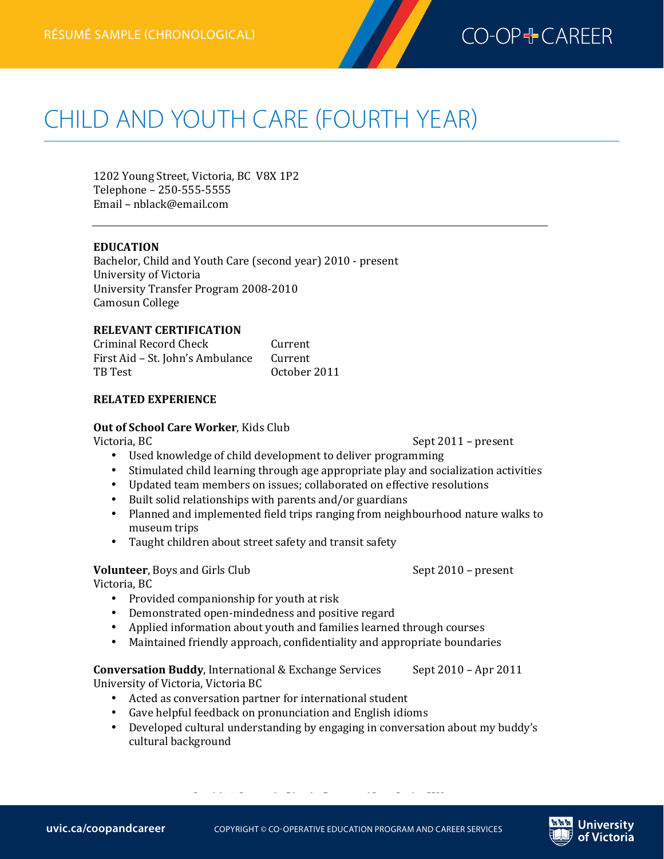

# **CHILD AND YOUTH CARE (FOURTH YEAR)**

1202 Young Street, Victoria, BC V8X 1P2 Telephone - 250-555-5555 Email - nblack@email.com

#### **EDUCATION**

Bachelor, Child and Youth Care (second year) 2010 - present University of Victoria University Transfer Program 2008-2010 Camosun 
 College

#### **RELEVANT CERTIFICATION**

Criminal Record Check Current<br>
First Aid - St. John's Ambulance Current First Aid – St. John's Ambulance<br>TB Test October 2011

#### **RELATED EXPERIENCE**

## **Out of School Care Worker**, Kids Club<br>Victoria. BC

- Used knowledge of child development to deliver programming
- Stimulated child learning through age appropriate play and socialization activities
- Updated team members on issues; collaborated on effective resolutions
- Built solid relationships with parents and/or guardians
- Planned and implemented field trips ranging from neighbourhood nature walks to museum trips
- Taught children about street safety and transit safety

#### **Volunteer**, Boys and Girls Club Sept 2010 – present

Victoria, BC

- Provided companionship for youth at risk
- Demonstrated open-mindedness and positive regard
- Applied information about youth and families learned through courses
- Maintained friendly approach, confidentiality and appropriate boundaries

#### **Conversation Buddy**, International & Exchange Services Sept 2010 – Apr 2011 University of Victoria, Victoria BC

- Acted as conversation partner for international student
- Gave helpful feedback on pronunciation and English idioms
- Developed cultural understanding by engaging in conversation about my buddy's cultural background

Sept 2011 – present